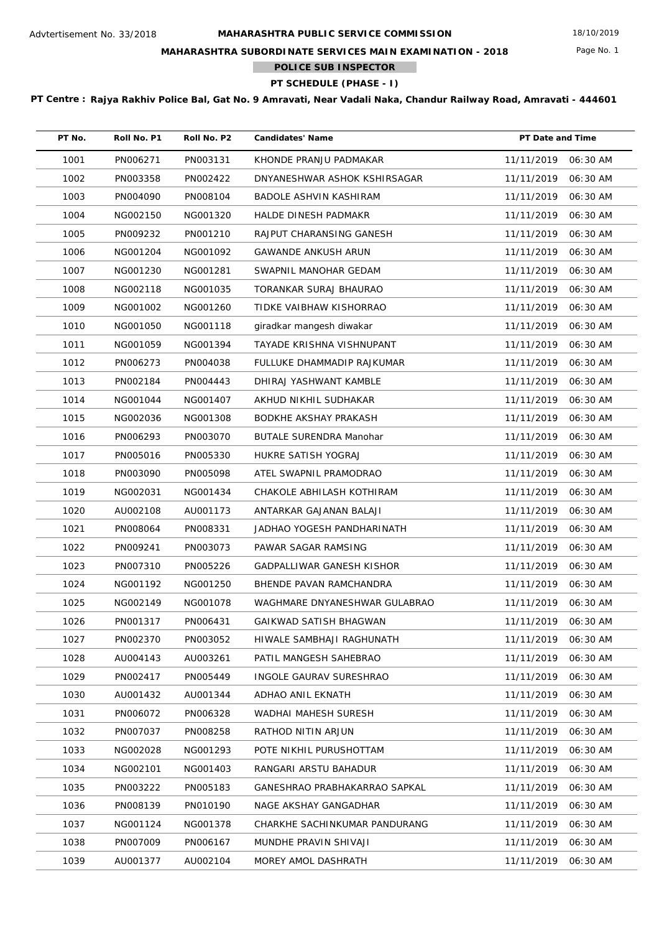Page No. 1

## **MAHARASHTRA SUBORDINATE SERVICES MAIN EXAMINATION - 2018**

**POLICE SUB INSPECTOR**  $\mathcal{L}^{\text{max}}$ 

**PT SCHEDULE (PHASE - I)**

| PT No. | Roll No. P1 | Roll No. P2 | <b>Candidates' Name</b>          | PT Date and Time    |          |
|--------|-------------|-------------|----------------------------------|---------------------|----------|
| 1001   | PN006271    | PN003131    | KHONDE PRANJU PADMAKAR           | 11/11/2019          | 06:30 AM |
| 1002   | PN003358    | PN002422    | DNYANESHWAR ASHOK KSHIRSAGAR     | 11/11/2019          | 06:30 AM |
| 1003   | PN004090    | PN008104    | BADOLE ASHVIN KASHIRAM           | 11/11/2019          | 06:30 AM |
| 1004   | NG002150    | NG001320    | HALDE DINESH PADMAKR             | 11/11/2019          | 06:30 AM |
| 1005   | PN009232    | PN001210    | RAJPUT CHARANSING GANESH         | 11/11/2019          | 06:30 AM |
| 1006   | NG001204    | NG001092    | GAWANDE ANKUSH ARUN              | 11/11/2019          | 06:30 AM |
| 1007   | NG001230    | NG001281    | SWAPNIL MANOHAR GEDAM            | 11/11/2019          | 06:30 AM |
| 1008   | NG002118    | NG001035    | TORANKAR SURAJ BHAURAO           | 11/11/2019          | 06:30 AM |
| 1009   | NG001002    | NG001260    | TIDKE VAIBHAW KISHORRAO          | 11/11/2019          | 06:30 AM |
| 1010   | NG001050    | NG001118    | giradkar mangesh diwakar         | 11/11/2019          | 06:30 AM |
| 1011   | NG001059    | NG001394    | TAYADE KRISHNA VISHNUPANT        | 11/11/2019          | 06:30 AM |
| 1012   | PN006273    | PN004038    | FULLUKE DHAMMADIP RAJKUMAR       | 11/11/2019          | 06:30 AM |
| 1013   | PN002184    | PN004443    | DHIRAJ YASHWANT KAMBLE           | 11/11/2019          | 06:30 AM |
| 1014   | NG001044    | NG001407    | AKHUD NIKHIL SUDHAKAR            | 11/11/2019          | 06:30 AM |
| 1015   | NG002036    | NG001308    | BODKHE AKSHAY PRAKASH            | 11/11/2019          | 06:30 AM |
| 1016   | PN006293    | PN003070    | <b>BUTALE SURENDRA Manohar</b>   | 11/11/2019          | 06:30 AM |
| 1017   | PN005016    | PN005330    | HUKRE SATISH YOGRAJ              | 11/11/2019          | 06:30 AM |
| 1018   | PN003090    | PN005098    | ATEL SWAPNIL PRAMODRAO           | 11/11/2019          | 06:30 AM |
| 1019   | NG002031    | NG001434    | CHAKOLE ABHILASH KOTHIRAM        | 11/11/2019          | 06:30 AM |
| 1020   | AU002108    | AU001173    | ANTARKAR GAJANAN BALAJI          | 11/11/2019          | 06:30 AM |
| 1021   | PN008064    | PN008331    | JADHAO YOGESH PANDHARINATH       | 11/11/2019          | 06:30 AM |
| 1022   | PN009241    | PN003073    | PAWAR SAGAR RAMSING              | 11/11/2019          | 06:30 AM |
| 1023   | PN007310    | PN005226    | <b>GADPALLIWAR GANESH KISHOR</b> | 11/11/2019          | 06:30 AM |
| 1024   | NG001192    | NG001250    | BHENDE PAVAN RAMCHANDRA          | 11/11/2019          | 06:30 AM |
| 1025   | NG002149    | NG001078    | WAGHMARE DNYANESHWAR GULABRAO    | 11/11/2019          | 06:30 AM |
| 1026   | PN001317    | PN006431    | GAIKWAD SATISH BHAGWAN           | 11/11/2019 06:30 AM |          |
| 1027   | PN002370    | PN003052    | HIWALE SAMBHAJI RAGHUNATH        | 11/11/2019          | 06:30 AM |
| 1028   | AU004143    | AU003261    | PATIL MANGESH SAHEBRAO           | 11/11/2019          | 06:30 AM |
| 1029   | PN002417    | PN005449    | INGOLE GAURAV SURESHRAO          | 11/11/2019          | 06:30 AM |
| 1030   | AU001432    | AU001344    | ADHAO ANIL EKNATH                | 11/11/2019          | 06:30 AM |
| 1031   | PN006072    | PN006328    | WADHAI MAHESH SURESH             | 11/11/2019          | 06:30 AM |
| 1032   | PN007037    | PN008258    | RATHOD NITIN ARJUN               | 11/11/2019          | 06:30 AM |
| 1033   | NG002028    | NG001293    | POTE NIKHIL PURUSHOTTAM          | 11/11/2019          | 06:30 AM |
| 1034   | NG002101    | NG001403    | RANGARI ARSTU BAHADUR            | 11/11/2019          | 06:30 AM |
| 1035   | PN003222    | PN005183    | GANESHRAO PRABHAKARRAO SAPKAL    | 11/11/2019          | 06:30 AM |
| 1036   | PN008139    | PN010190    | NAGE AKSHAY GANGADHAR            | 11/11/2019          | 06:30 AM |
| 1037   | NG001124    | NG001378    | CHARKHE SACHINKUMAR PANDURANG    | 11/11/2019          | 06:30 AM |
| 1038   | PN007009    | PN006167    | MUNDHE PRAVIN SHIVAJI            | 11/11/2019          | 06:30 AM |
| 1039   | AU001377    | AU002104    | MOREY AMOL DASHRATH              | 11/11/2019          | 06:30 AM |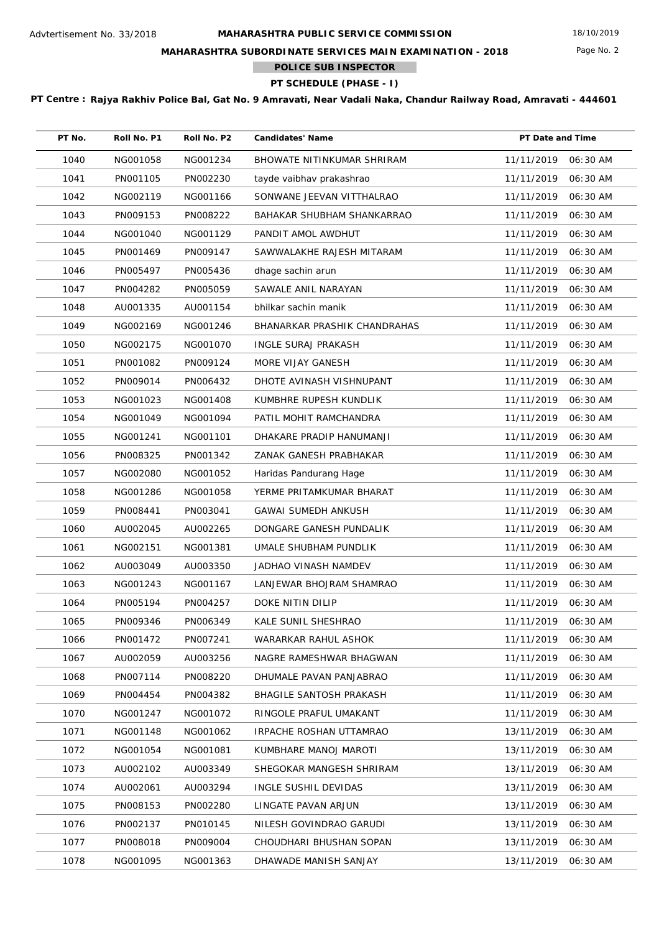Page No. 2

## **MAHARASHTRA SUBORDINATE SERVICES MAIN EXAMINATION - 2018**

**POLICE SUB INSPECTOR**

**PT SCHEDULE (PHASE - I)**

| PT No. | Roll No. P1 | Roll No. P2 | <b>Candidates' Name</b>        | PT Date and Time    |          |
|--------|-------------|-------------|--------------------------------|---------------------|----------|
| 1040   | NG001058    | NG001234    | BHOWATE NITINKUMAR SHRIRAM     | 11/11/2019          | 06:30 AM |
| 1041   | PN001105    | PN002230    | tayde vaibhav prakashrao       | 11/11/2019          | 06:30 AM |
| 1042   | NG002119    | NG001166    | SONWANE JEEVAN VITTHALRAO      | 11/11/2019          | 06:30 AM |
| 1043   | PN009153    | PN008222    | BAHAKAR SHUBHAM SHANKARRAO     | 11/11/2019          | 06:30 AM |
| 1044   | NG001040    | NG001129    | PANDIT AMOL AWDHUT             | 11/11/2019          | 06:30 AM |
| 1045   | PN001469    | PN009147    | SAWWALAKHE RAJESH MITARAM      | 11/11/2019          | 06:30 AM |
| 1046   | PN005497    | PN005436    | dhage sachin arun              | 11/11/2019          | 06:30 AM |
| 1047   | PN004282    | PN005059    | SAWALE ANIL NARAYAN            | 11/11/2019          | 06:30 AM |
| 1048   | AU001335    | AU001154    | bhilkar sachin manik           | 11/11/2019          | 06:30 AM |
| 1049   | NG002169    | NG001246    | BHANARKAR PRASHIK CHANDRAHAS   | 11/11/2019          | 06:30 AM |
| 1050   | NG002175    | NG001070    | <b>INGLE SURAJ PRAKASH</b>     | 11/11/2019          | 06:30 AM |
| 1051   | PN001082    | PN009124    | MORE VIJAY GANESH              | 11/11/2019          | 06:30 AM |
| 1052   | PN009014    | PN006432    | DHOTE AVINASH VISHNUPANT       | 11/11/2019          | 06:30 AM |
| 1053   | NG001023    | NG001408    | KUMBHRE RUPESH KUNDLIK         | 11/11/2019          | 06:30 AM |
| 1054   | NG001049    | NG001094    | PATIL MOHIT RAMCHANDRA         | 11/11/2019          | 06:30 AM |
| 1055   | NG001241    | NG001101    | DHAKARE PRADIP HANUMANJI       | 11/11/2019          | 06:30 AM |
| 1056   | PN008325    | PN001342    | ZANAK GANESH PRABHAKAR         | 11/11/2019          | 06:30 AM |
| 1057   | NG002080    | NG001052    | Haridas Pandurang Hage         | 11/11/2019          | 06:30 AM |
| 1058   | NG001286    | NG001058    | YERME PRITAMKUMAR BHARAT       | 11/11/2019          | 06:30 AM |
| 1059   | PN008441    | PN003041    | <b>GAWAI SUMEDH ANKUSH</b>     | 11/11/2019          | 06:30 AM |
| 1060   | AU002045    | AU002265    | DONGARE GANESH PUNDALIK        | 11/11/2019          | 06:30 AM |
| 1061   | NG002151    | NG001381    | UMALE SHUBHAM PUNDLIK          | 11/11/2019          | 06:30 AM |
| 1062   | AU003049    | AU003350    | JADHAO VINASH NAMDEV           | 11/11/2019          | 06:30 AM |
| 1063   | NG001243    | NG001167    | LANJEWAR BHOJRAM SHAMRAO       | 11/11/2019          | 06:30 AM |
| 1064   | PN005194    | PN004257    | DOKE NITIN DILIP               | 11/11/2019          | 06:30 AM |
| 1065   | PN009346    | PN006349    | KALE SUNIL SHESHRAO            | 11/11/2019 06:30 AM |          |
| 1066   | PN001472    | PN007241    | WARARKAR RAHUL ASHOK           | 11/11/2019          | 06:30 AM |
| 1067   | AU002059    | AU003256    | NAGRE RAMESHWAR BHAGWAN        | 11/11/2019          | 06:30 AM |
| 1068   | PN007114    | PN008220    | DHUMALE PAVAN PANJABRAO        | 11/11/2019          | 06:30 AM |
| 1069   | PN004454    | PN004382    | <b>BHAGILE SANTOSH PRAKASH</b> | 11/11/2019          | 06:30 AM |
| 1070   | NG001247    | NG001072    | RINGOLE PRAFUL UMAKANT         | 11/11/2019          | 06:30 AM |
| 1071   | NG001148    | NG001062    | IRPACHE ROSHAN UTTAMRAO        | 13/11/2019          | 06:30 AM |
| 1072   | NG001054    | NG001081    | KUMBHARE MANOJ MAROTI          | 13/11/2019          | 06:30 AM |
| 1073   | AU002102    | AU003349    | SHEGOKAR MANGESH SHRIRAM       | 13/11/2019          | 06:30 AM |
| 1074   | AU002061    | AU003294    | INGLE SUSHIL DEVIDAS           | 13/11/2019          | 06:30 AM |
| 1075   | PN008153    | PN002280    | LINGATE PAVAN ARJUN            | 13/11/2019          | 06:30 AM |
| 1076   | PN002137    | PN010145    | NILESH GOVINDRAO GARUDI        | 13/11/2019          | 06:30 AM |
| 1077   | PN008018    | PN009004    | CHOUDHARI BHUSHAN SOPAN        | 13/11/2019          | 06:30 AM |
| 1078   | NG001095    | NG001363    | DHAWADE MANISH SANJAY          | 13/11/2019          | 06:30 AM |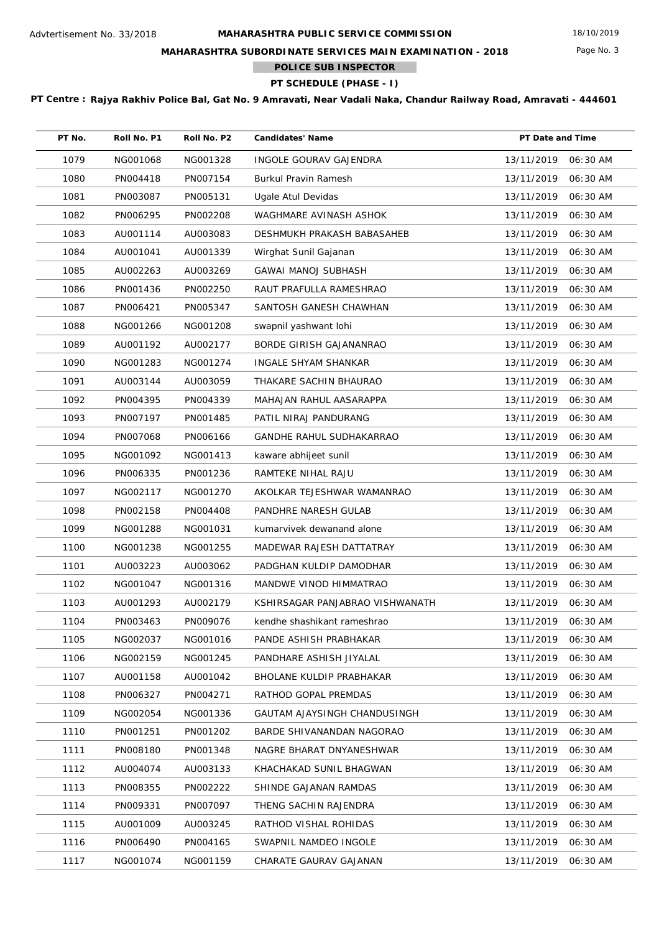Page No. 3

## **MAHARASHTRA SUBORDINATE SERVICES MAIN EXAMINATION - 2018**

**POLICE SUB INSPECTOR**

**PT SCHEDULE (PHASE - I)**

| PT No. | Roll No. P1 | Roll No. P2 | <b>Candidates' Name</b>         | PT Date and Time       |
|--------|-------------|-------------|---------------------------------|------------------------|
| 1079   | NG001068    | NG001328    | <b>INGOLE GOURAV GAJENDRA</b>   | 13/11/2019<br>06:30 AM |
| 1080   | PN004418    | PN007154    | <b>Burkul Pravin Ramesh</b>     | 13/11/2019<br>06:30 AM |
| 1081   | PN003087    | PN005131    | Ugale Atul Devidas              | 13/11/2019<br>06:30 AM |
| 1082   | PN006295    | PN002208    | WAGHMARE AVINASH ASHOK          | 13/11/2019<br>06:30 AM |
| 1083   | AU001114    | AU003083    | DESHMUKH PRAKASH BABASAHEB      | 13/11/2019<br>06:30 AM |
| 1084   | AU001041    | AU001339    | Wirghat Sunil Gajanan           | 13/11/2019<br>06:30 AM |
| 1085   | AU002263    | AU003269    | <b>GAWAI MANOJ SUBHASH</b>      | 13/11/2019<br>06:30 AM |
| 1086   | PN001436    | PN002250    | RAUT PRAFULLA RAMESHRAO         | 13/11/2019<br>06:30 AM |
| 1087   | PN006421    | PN005347    | SANTOSH GANESH CHAWHAN          | 13/11/2019<br>06:30 AM |
| 1088   | NG001266    | NG001208    | swapnil yashwant lohi           | 13/11/2019<br>06:30 AM |
| 1089   | AU001192    | AU002177    | BORDE GIRISH GAJANANRAO         | 13/11/2019<br>06:30 AM |
| 1090   | NG001283    | NG001274    | <b>INGALE SHYAM SHANKAR</b>     | 13/11/2019<br>06:30 AM |
| 1091   | AU003144    | AU003059    | THAKARE SACHIN BHAURAO          | 13/11/2019<br>06:30 AM |
| 1092   | PN004395    | PN004339    | MAHAJAN RAHUL AASARAPPA         | 13/11/2019<br>06:30 AM |
| 1093   | PN007197    | PN001485    | PATIL NIRAJ PANDURANG           | 13/11/2019<br>06:30 AM |
| 1094   | PN007068    | PN006166    | GANDHE RAHUL SUDHAKARRAO        | 13/11/2019<br>06:30 AM |
| 1095   | NG001092    | NG001413    | kaware abhijeet sunil           | 13/11/2019<br>06:30 AM |
| 1096   | PN006335    | PN001236    | RAMTEKE NIHAL RAJU              | 06:30 AM<br>13/11/2019 |
| 1097   | NG002117    | NG001270    | AKOLKAR TEJESHWAR WAMANRAO      | 13/11/2019<br>06:30 AM |
| 1098   | PN002158    | PN004408    | PANDHRE NARESH GULAB            | 13/11/2019<br>06:30 AM |
| 1099   | NG001288    | NG001031    | kumarvivek dewanand alone       | 13/11/2019<br>06:30 AM |
| 1100   | NG001238    | NG001255    | MADEWAR RAJESH DATTATRAY        | 13/11/2019<br>06:30 AM |
| 1101   | AU003223    | AU003062    | PADGHAN KULDIP DAMODHAR         | 13/11/2019<br>06:30 AM |
| 1102   | NG001047    | NG001316    | MANDWE VINOD HIMMATRAO          | 13/11/2019<br>06:30 AM |
| 1103   | AU001293    | AU002179    | KSHIRSAGAR PANJABRAO VISHWANATH | 13/11/2019<br>06:30 AM |
| 1104   | PN003463    | PN009076    | kendhe shashikant rameshrao     | 13/11/2019 06:30 AM    |
| 1105   | NG002037    | NG001016    | PANDE ASHISH PRABHAKAR          | 13/11/2019<br>06:30 AM |
| 1106   | NG002159    | NG001245    | PANDHARE ASHISH JIYALAL         | 13/11/2019<br>06:30 AM |
| 1107   | AU001158    | AU001042    | <b>BHOLANE KULDIP PRABHAKAR</b> | 13/11/2019<br>06:30 AM |
| 1108   | PN006327    | PN004271    | RATHOD GOPAL PREMDAS            | 13/11/2019<br>06:30 AM |
| 1109   | NG002054    | NG001336    | GAUTAM AJAYSINGH CHANDUSINGH    | 13/11/2019<br>06:30 AM |
| 1110   | PN001251    | PN001202    | BARDE SHIVANANDAN NAGORAO       | 13/11/2019<br>06:30 AM |
| 1111   | PN008180    | PN001348    | NAGRE BHARAT DNYANESHWAR        | 13/11/2019<br>06:30 AM |
| 1112   | AU004074    | AU003133    | KHACHAKAD SUNIL BHAGWAN         | 13/11/2019<br>06:30 AM |
| 1113   | PN008355    | PN002222    | SHINDE GAJANAN RAMDAS           | 13/11/2019<br>06:30 AM |
| 1114   | PN009331    | PN007097    | THENG SACHIN RAJENDRA           | 13/11/2019<br>06:30 AM |
| 1115   | AU001009    | AU003245    | RATHOD VISHAL ROHIDAS           | 13/11/2019<br>06:30 AM |
| 1116   | PN006490    | PN004165    | SWAPNIL NAMDEO INGOLE           | 13/11/2019<br>06:30 AM |
| 1117   | NG001074    | NG001159    | CHARATE GAURAV GAJANAN          | 13/11/2019<br>06:30 AM |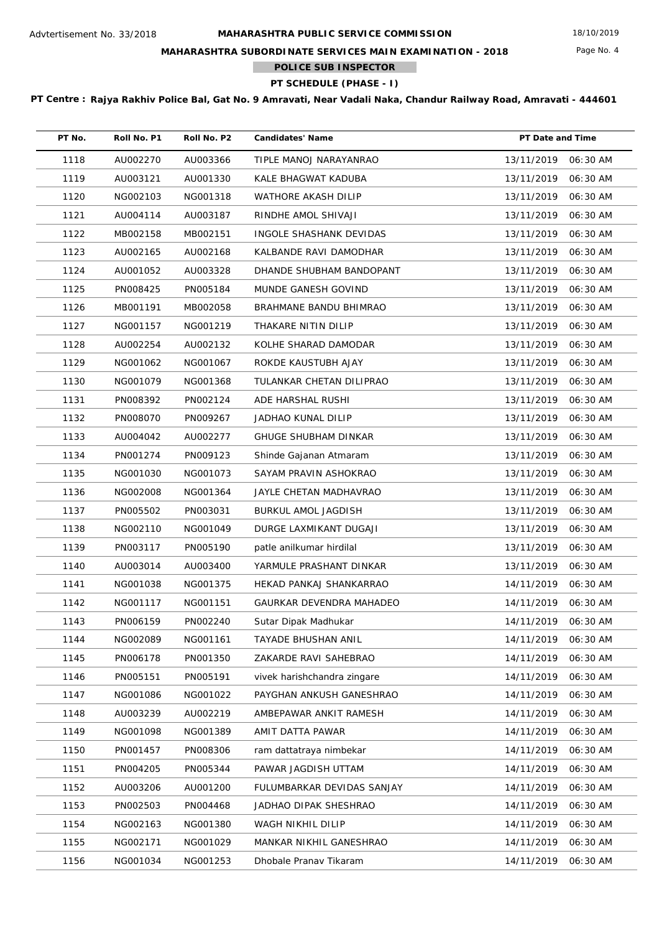Page No. 4

## **MAHARASHTRA SUBORDINATE SERVICES MAIN EXAMINATION - 2018**

**POLICE SUB INSPECTOR**

**PT SCHEDULE (PHASE - I)**

| PT No. | Roll No. P1 | Roll No. P2 | <b>Candidates' Name</b>     | PT Date and Time    |          |
|--------|-------------|-------------|-----------------------------|---------------------|----------|
| 1118   | AU002270    | AU003366    | TIPLE MANOJ NARAYANRAO      | 13/11/2019          | 06:30 AM |
| 1119   | AU003121    | AU001330    | KALE BHAGWAT KADUBA         | 13/11/2019          | 06:30 AM |
| 1120   | NG002103    | NG001318    | WATHORE AKASH DILIP         | 13/11/2019          | 06:30 AM |
| 1121   | AU004114    | AU003187    | RINDHE AMOL SHIVAJI         | 13/11/2019          | 06:30 AM |
| 1122   | MB002158    | MB002151    | INGOLE SHASHANK DEVIDAS     | 13/11/2019          | 06:30 AM |
| 1123   | AU002165    | AU002168    | KALBANDE RAVI DAMODHAR      | 13/11/2019          | 06:30 AM |
| 1124   | AU001052    | AU003328    | DHANDE SHUBHAM BANDOPANT    | 13/11/2019          | 06:30 AM |
| 1125   | PN008425    | PN005184    | MUNDE GANESH GOVIND         | 13/11/2019          | 06:30 AM |
| 1126   | MB001191    | MB002058    | BRAHMANE BANDU BHIMRAO      | 13/11/2019          | 06:30 AM |
| 1127   | NG001157    | NG001219    | THAKARE NITIN DILIP         | 13/11/2019          | 06:30 AM |
| 1128   | AU002254    | AU002132    | KOLHE SHARAD DAMODAR        | 13/11/2019          | 06:30 AM |
| 1129   | NG001062    | NG001067    | ROKDE KAUSTUBH AJAY         | 13/11/2019          | 06:30 AM |
| 1130   | NG001079    | NG001368    | TULANKAR CHETAN DILIPRAO    | 13/11/2019          | 06:30 AM |
| 1131   | PN008392    | PN002124    | ADE HARSHAL RUSHI           | 13/11/2019          | 06:30 AM |
| 1132   | PN008070    | PN009267    | JADHAO KUNAL DILIP          | 13/11/2019          | 06:30 AM |
| 1133   | AU004042    | AU002277    | GHUGE SHUBHAM DINKAR        | 13/11/2019          | 06:30 AM |
| 1134   | PN001274    | PN009123    | Shinde Gajanan Atmaram      | 13/11/2019          | 06:30 AM |
| 1135   | NG001030    | NG001073    | SAYAM PRAVIN ASHOKRAO       | 13/11/2019          | 06:30 AM |
| 1136   | NG002008    | NG001364    | JAYLE CHETAN MADHAVRAO      | 13/11/2019          | 06:30 AM |
| 1137   | PN005502    | PN003031    | BURKUL AMOL JAGDISH         | 13/11/2019          | 06:30 AM |
| 1138   | NG002110    | NG001049    | DURGE LAXMIKANT DUGAJI      | 13/11/2019          | 06:30 AM |
| 1139   | PN003117    | PN005190    | patle anilkumar hirdilal    | 13/11/2019          | 06:30 AM |
| 1140   | AU003014    | AU003400    | YARMULE PRASHANT DINKAR     | 13/11/2019          | 06:30 AM |
| 1141   | NG001038    | NG001375    | HEKAD PANKAJ SHANKARRAO     | 14/11/2019          | 06:30 AM |
| 1142   | NG001117    | NG001151    | GAURKAR DEVENDRA MAHADEO    | 14/11/2019          | 06:30 AM |
| 1143   | PN006159    | PN002240    | Sutar Dipak Madhukar        | 14/11/2019 06:30 AM |          |
| 1144   | NG002089    | NG001161    | <b>TAYADE BHUSHAN ANIL</b>  | 14/11/2019          | 06:30 AM |
| 1145   | PN006178    | PN001350    | ZAKARDE RAVI SAHEBRAO       | 14/11/2019          | 06:30 AM |
| 1146   | PN005151    | PN005191    | vivek harishchandra zingare | 14/11/2019          | 06:30 AM |
| 1147   | NG001086    | NG001022    | PAYGHAN ANKUSH GANESHRAO    | 14/11/2019          | 06:30 AM |
| 1148   | AU003239    | AU002219    | AMBEPAWAR ANKIT RAMESH      | 14/11/2019          | 06:30 AM |
| 1149   | NG001098    | NG001389    | AMIT DATTA PAWAR            | 14/11/2019          | 06:30 AM |
| 1150   | PN001457    | PN008306    | ram dattatraya nimbekar     | 14/11/2019          | 06:30 AM |
| 1151   | PN004205    | PN005344    | PAWAR JAGDISH UTTAM         | 14/11/2019          | 06:30 AM |
| 1152   | AU003206    | AU001200    | FULUMBARKAR DEVIDAS SANJAY  | 14/11/2019          | 06:30 AM |
| 1153   | PN002503    | PN004468    | JADHAO DIPAK SHESHRAO       | 14/11/2019          | 06:30 AM |
| 1154   | NG002163    | NG001380    | WAGH NIKHIL DILIP           | 14/11/2019          | 06:30 AM |
| 1155   | NG002171    | NG001029    | MANKAR NIKHIL GANESHRAO     | 14/11/2019          | 06:30 AM |
| 1156   | NG001034    | NG001253    | Dhobale Pranav Tikaram      | 14/11/2019          | 06:30 AM |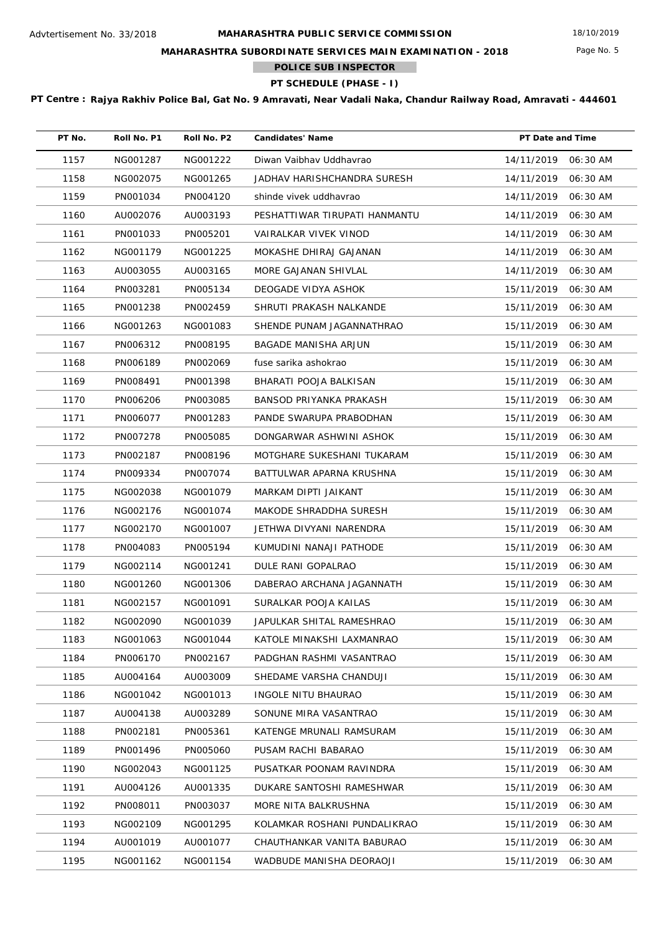Page No. 5

## **MAHARASHTRA SUBORDINATE SERVICES MAIN EXAMINATION - 2018**

**POLICE SUB INSPECTOR**

**PT SCHEDULE (PHASE - I)**

| PT No. | Roll No. P1 | Roll No. P2 | <b>Candidates' Name</b>       | PT Date and Time       |
|--------|-------------|-------------|-------------------------------|------------------------|
| 1157   | NG001287    | NG001222    | Diwan Vaibhav Uddhavrao       | 14/11/2019 06:30 AM    |
| 1158   | NG002075    | NG001265    | JADHAV HARISHCHANDRA SURESH   | 14/11/2019<br>06:30 AM |
| 1159   | PN001034    | PN004120    | shinde vivek uddhavrao        | 14/11/2019<br>06:30 AM |
| 1160   | AU002076    | AU003193    | PESHATTIWAR TIRUPATI HANMANTU | 14/11/2019<br>06:30 AM |
| 1161   | PN001033    | PN005201    | VAIRALKAR VIVEK VINOD         | 14/11/2019<br>06:30 AM |
| 1162   | NG001179    | NG001225    | MOKASHE DHIRAJ GAJANAN        | 14/11/2019<br>06:30 AM |
| 1163   | AU003055    | AU003165    | MORE GAJANAN SHIVLAL          | 14/11/2019<br>06:30 AM |
| 1164   | PN003281    | PN005134    | DEOGADE VIDYA ASHOK           | 15/11/2019<br>06:30 AM |
| 1165   | PN001238    | PN002459    | SHRUTI PRAKASH NALKANDE       | 15/11/2019<br>06:30 AM |
| 1166   | NG001263    | NG001083    | SHENDE PUNAM JAGANNATHRAO     | 15/11/2019<br>06:30 AM |
| 1167   | PN006312    | PN008195    | BAGADE MANISHA ARJUN          | 15/11/2019<br>06:30 AM |
| 1168   | PN006189    | PN002069    | fuse sarika ashokrao          | 15/11/2019<br>06:30 AM |
| 1169   | PN008491    | PN001398    | BHARATI POOJA BALKISAN        | 15/11/2019<br>06:30 AM |
| 1170   | PN006206    | PN003085    | BANSOD PRIYANKA PRAKASH       | 15/11/2019<br>06:30 AM |
| 1171   | PN006077    | PN001283    | PANDE SWARUPA PRABODHAN       | 15/11/2019<br>06:30 AM |
| 1172   | PN007278    | PN005085    | DONGARWAR ASHWINI ASHOK       | 15/11/2019<br>06:30 AM |
| 1173   | PN002187    | PN008196    | MOTGHARE SUKESHANI TUKARAM    | 15/11/2019<br>06:30 AM |
| 1174   | PN009334    | PN007074    | BATTULWAR APARNA KRUSHNA      | 15/11/2019<br>06:30 AM |
| 1175   | NG002038    | NG001079    | MARKAM DIPTI JAIKANT          | 15/11/2019<br>06:30 AM |
| 1176   | NG002176    | NG001074    | MAKODE SHRADDHA SURESH        | 15/11/2019<br>06:30 AM |
| 1177   | NG002170    | NG001007    | JETHWA DIVYANI NARENDRA       | 15/11/2019<br>06:30 AM |
| 1178   | PN004083    | PN005194    | KUMUDINI NANAJI PATHODE       | 15/11/2019<br>06:30 AM |
| 1179   | NG002114    | NG001241    | DULE RANI GOPALRAO            | 15/11/2019<br>06:30 AM |
| 1180   | NG001260    | NG001306    | DABERAO ARCHANA JAGANNATH     | 15/11/2019<br>06:30 AM |
| 1181   | NG002157    | NG001091    | SURALKAR POOJA KAILAS         | 15/11/2019<br>06:30 AM |
| 1182   | NG002090    | NG001039    | JAPULKAR SHITAL RAMESHRAO     | 15/11/2019 06:30 AM    |
| 1183   | NG001063    | NG001044    | KATOLE MINAKSHI LAXMANRAO     | 15/11/2019<br>06:30 AM |
| 1184   | PN006170    | PN002167    | PADGHAN RASHMI VASANTRAO      | 15/11/2019<br>06:30 AM |
| 1185   | AU004164    | AU003009    | SHEDAME VARSHA CHANDUJI       | 15/11/2019<br>06:30 AM |
| 1186   | NG001042    | NG001013    | <b>INGOLE NITU BHAURAO</b>    | 15/11/2019<br>06:30 AM |
| 1187   | AU004138    | AU003289    | SONUNE MIRA VASANTRAO         | 15/11/2019<br>06:30 AM |
| 1188   | PN002181    | PN005361    | KATENGE MRUNALI RAMSURAM      | 15/11/2019<br>06:30 AM |
| 1189   | PN001496    | PN005060    | PUSAM RACHI BABARAO           | 15/11/2019<br>06:30 AM |
| 1190   | NG002043    | NG001125    | PUSATKAR POONAM RAVINDRA      | 15/11/2019<br>06:30 AM |
| 1191   | AU004126    | AU001335    | DUKARE SANTOSHI RAMESHWAR     | 15/11/2019<br>06:30 AM |
| 1192   | PN008011    | PN003037    | MORE NITA BALKRUSHNA          | 15/11/2019<br>06:30 AM |
| 1193   | NG002109    | NG001295    | KOLAMKAR ROSHANI PUNDALIKRAO  | 15/11/2019<br>06:30 AM |
| 1194   | AU001019    | AU001077    | CHAUTHANKAR VANITA BABURAO    | 15/11/2019<br>06:30 AM |
| 1195   | NG001162    | NG001154    | WADBUDE MANISHA DEORAOJI      | 15/11/2019<br>06:30 AM |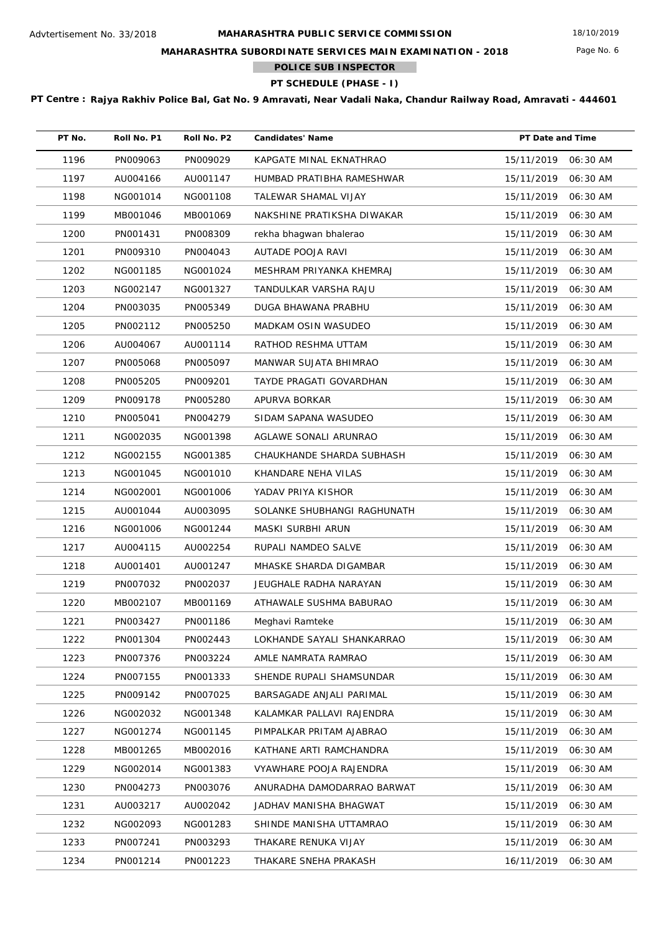Page No. 6

## **MAHARASHTRA SUBORDINATE SERVICES MAIN EXAMINATION - 2018**

**POLICE SUB INSPECTOR**  $\mathcal{L}^{\text{max}}$ 

**PT SCHEDULE (PHASE - I)**

| PT No. | Roll No. P1 | Roll No. P2 | <b>Candidates' Name</b>     | PT Date and Time    |          |
|--------|-------------|-------------|-----------------------------|---------------------|----------|
| 1196   | PN009063    | PN009029    | KAPGATE MINAL EKNATHRAO     | 15/11/2019          | 06:30 AM |
| 1197   | AU004166    | AU001147    | HUMBAD PRATIBHA RAMESHWAR   | 15/11/2019          | 06:30 AM |
| 1198   | NG001014    | NG001108    | TALEWAR SHAMAL VIJAY        | 15/11/2019          | 06:30 AM |
| 1199   | MB001046    | MB001069    | NAKSHINE PRATIKSHA DIWAKAR  | 15/11/2019          | 06:30 AM |
| 1200   | PN001431    | PN008309    | rekha bhagwan bhalerao      | 15/11/2019          | 06:30 AM |
| 1201   | PN009310    | PN004043    | AUTADE POOJA RAVI           | 15/11/2019          | 06:30 AM |
| 1202   | NG001185    | NG001024    | MESHRAM PRIYANKA KHEMRAJ    | 15/11/2019          | 06:30 AM |
| 1203   | NG002147    | NG001327    | TANDULKAR VARSHA RAJU       | 15/11/2019          | 06:30 AM |
| 1204   | PN003035    | PN005349    | DUGA BHAWANA PRABHU         | 15/11/2019          | 06:30 AM |
| 1205   | PN002112    | PN005250    | MADKAM OSIN WASUDEO         | 15/11/2019          | 06:30 AM |
| 1206   | AU004067    | AU001114    | RATHOD RESHMA UTTAM         | 15/11/2019          | 06:30 AM |
| 1207   | PN005068    | PN005097    | MANWAR SUJATA BHIMRAO       | 15/11/2019          | 06:30 AM |
| 1208   | PN005205    | PN009201    | TAYDE PRAGATI GOVARDHAN     | 15/11/2019          | 06:30 AM |
| 1209   | PN009178    | PN005280    | APURVA BORKAR               | 15/11/2019          | 06:30 AM |
| 1210   | PN005041    | PN004279    | SIDAM SAPANA WASUDEO        | 15/11/2019          | 06:30 AM |
| 1211   | NG002035    | NG001398    | AGLAWE SONALI ARUNRAO       | 15/11/2019          | 06:30 AM |
| 1212   | NG002155    | NG001385    | CHAUKHANDE SHARDA SUBHASH   | 15/11/2019          | 06:30 AM |
| 1213   | NG001045    | NG001010    | KHANDARE NEHA VILAS         | 15/11/2019          | 06:30 AM |
| 1214   | NG002001    | NG001006    | YADAV PRIYA KISHOR          | 15/11/2019          | 06:30 AM |
| 1215   | AU001044    | AU003095    | SOLANKE SHUBHANGI RAGHUNATH | 15/11/2019          | 06:30 AM |
| 1216   | NG001006    | NG001244    | MASKI SURBHI ARUN           | 15/11/2019          | 06:30 AM |
| 1217   | AU004115    | AU002254    | RUPALI NAMDEO SALVE         | 15/11/2019          | 06:30 AM |
| 1218   | AU001401    | AU001247    | MHASKE SHARDA DIGAMBAR      | 15/11/2019          | 06:30 AM |
| 1219   | PN007032    | PN002037    | JEUGHALE RADHA NARAYAN      | 15/11/2019          | 06:30 AM |
| 1220   | MB002107    | MB001169    | ATHAWALE SUSHMA BABURAO     | 15/11/2019          | 06:30 AM |
| 1221   | PN003427    | PN001186    | Meghavi Ramteke             | 15/11/2019 06:30 AM |          |
| 1222   | PN001304    | PN002443    | LOKHANDE SAYALI SHANKARRAO  | 15/11/2019          | 06:30 AM |
| 1223   | PN007376    | PN003224    | AMLE NAMRATA RAMRAO         | 15/11/2019          | 06:30 AM |
| 1224   | PN007155    | PN001333    | SHENDE RUPALI SHAMSUNDAR    | 15/11/2019          | 06:30 AM |
| 1225   | PN009142    | PN007025    | BARSAGADE ANJALI PARIMAL    | 15/11/2019          | 06:30 AM |
| 1226   | NG002032    | NG001348    | KALAMKAR PALLAVI RAJENDRA   | 15/11/2019          | 06:30 AM |
| 1227   | NG001274    | NG001145    | PIMPALKAR PRITAM AJABRAO    | 15/11/2019          | 06:30 AM |
| 1228   | MB001265    | MB002016    | KATHANE ARTI RAMCHANDRA     | 15/11/2019          | 06:30 AM |
| 1229   | NG002014    | NG001383    | VYAWHARE POOJA RAJENDRA     | 15/11/2019          | 06:30 AM |
| 1230   | PN004273    | PN003076    | ANURADHA DAMODARRAO BARWAT  | 15/11/2019          | 06:30 AM |
| 1231   | AU003217    | AU002042    | JADHAV MANISHA BHAGWAT      | 15/11/2019          | 06:30 AM |
| 1232   | NG002093    | NG001283    | SHINDE MANISHA UTTAMRAO     | 15/11/2019          | 06:30 AM |
| 1233   | PN007241    | PN003293    | THAKARE RENUKA VIJAY        | 15/11/2019          | 06:30 AM |
| 1234   | PN001214    | PN001223    | THAKARE SNEHA PRAKASH       | 16/11/2019          | 06:30 AM |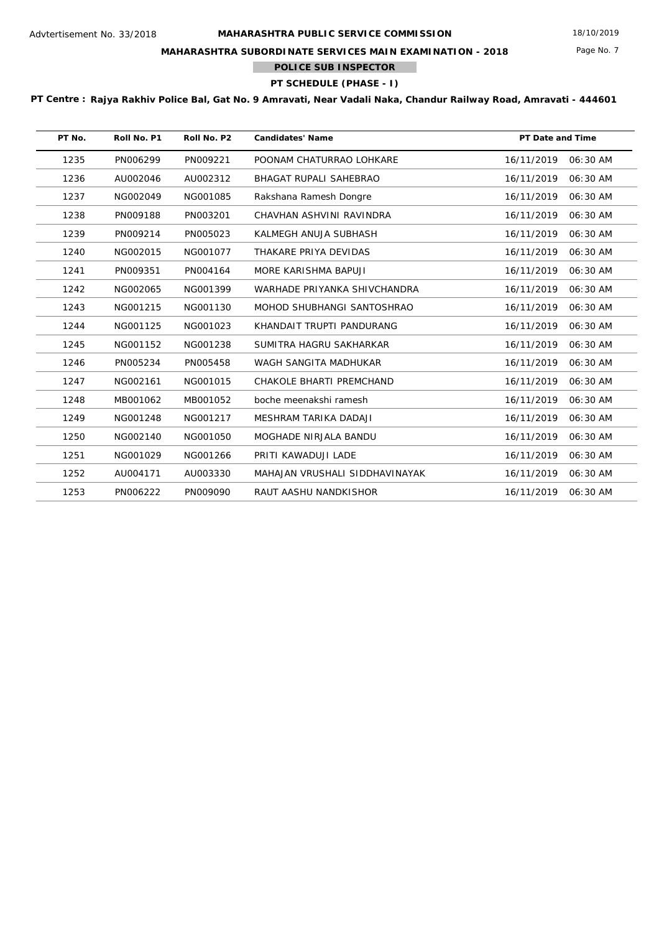Page No. 7

## **MAHARASHTRA SUBORDINATE SERVICES MAIN EXAMINATION - 2018**

**POLICE SUB INSPECTOR**

# **PT SCHEDULE (PHASE - I)**

| PT No. | Roll No. P1 | Roll No. P2 | <b>Candidates' Name</b>        | <b>PT Date and Time</b> |            |
|--------|-------------|-------------|--------------------------------|-------------------------|------------|
| 1235   | PN006299    | PN009221    | POONAM CHATURRAO LOHKARE       | 16/11/2019              | $06:30$ AM |
| 1236   | AU002046    | AU002312    | <b>BHAGAT RUPALI SAHEBRAO</b>  | 16/11/2019              | 06:30 AM   |
| 1237   | NG002049    | NG001085    | Rakshana Ramesh Dongre         | 16/11/2019              | 06:30 AM   |
| 1238   | PN009188    | PN003201    | CHAVHAN ASHVINI RAVINDRA       | 16/11/2019              | 06:30 AM   |
| 1239   | PN009214    | PN005023    | KALMEGH ANUJA SUBHASH          | 16/11/2019              | 06:30 AM   |
| 1240   | NG002015    | NG001077    | THAKARE PRIYA DEVIDAS          | 16/11/2019              | 06:30 AM   |
| 1241   | PN009351    | PN004164    | MORE KARISHMA BAPUJI           | 16/11/2019              | 06:30 AM   |
| 1242   | NG002065    | NG001399    | WARHADE PRIYANKA SHIVCHANDRA   | 16/11/2019              | 06:30 AM   |
| 1243   | NG001215    | NG001130    | MOHOD SHUBHANGI SANTOSHRAO     | 16/11/2019              | 06:30 AM   |
| 1244   | NG001125    | NG001023    | KHANDAIT TRUPTI PANDURANG      | 16/11/2019              | 06:30 AM   |
| 1245   | NG001152    | NG001238    | SUMITRA HAGRU SAKHARKAR        | 16/11/2019              | 06:30 AM   |
| 1246   | PN005234    | PN005458    | WAGH SANGITA MADHUKAR          | 16/11/2019              | 06:30 AM   |
| 1247   | NG002161    | NG001015    | CHAKOLE BHARTI PREMCHAND       | 16/11/2019              | 06:30 AM   |
| 1248   | MB001062    | MB001052    | boche meenakshi ramesh         | 16/11/2019              | 06:30 AM   |
| 1249   | NG001248    | NG001217    | MESHRAM TARIKA DADAJI          | 16/11/2019              | 06:30 AM   |
| 1250   | NG002140    | NG001050    | MOGHADE NIRJALA BANDU          | 16/11/2019              | 06:30 AM   |
| 1251   | NG001029    | NG001266    | PRITI KAWADUJI LADE            | 16/11/2019              | 06:30 AM   |
| 1252   | AU004171    | AU003330    | MAHAJAN VRUSHALI SIDDHAVINAYAK | 16/11/2019              | 06:30 AM   |
| 1253   | PN006222    | PN009090    | RAUT AASHU NANDKISHOR          | 16/11/2019              | 06:30 AM   |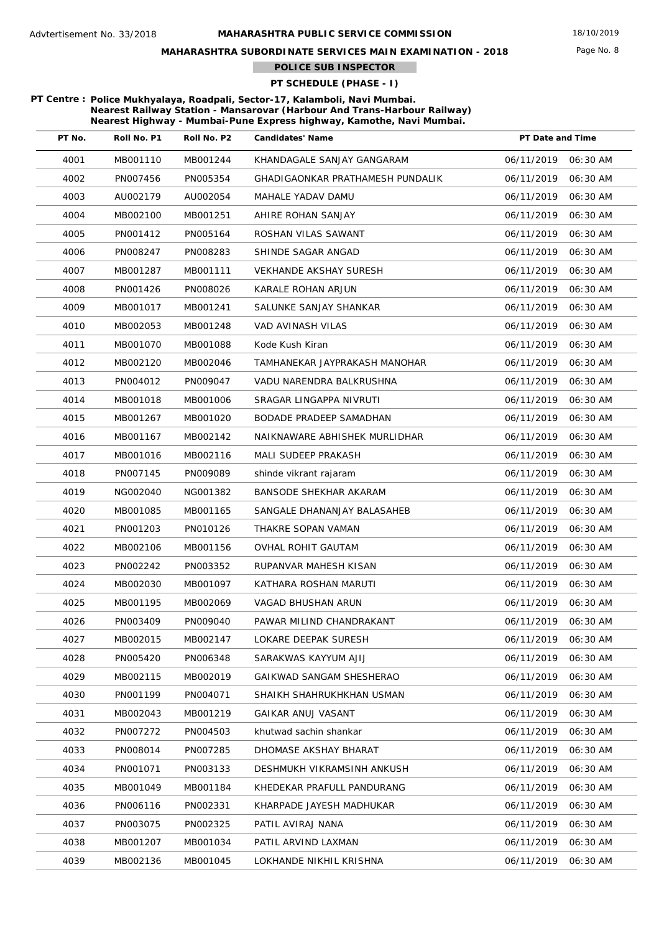Page No. 8

## **MAHARASHTRA SUBORDINATE SERVICES MAIN EXAMINATION - 2018**

**POLICE SUB INSPECTOR**

## **PT SCHEDULE (PHASE - I)**

**PT Centre : Police Mukhyalaya, Roadpali, Sector-17, Kalamboli, Navi Mumbai. Nearest Railway Station - Mansarovar (Harbour And Trans-Harbour Railway) Nearest Highway - Mumbai-Pune Express highway, Kamothe, Navi Mumbai.**

**Tara** 

| PT No. | Roll No. P1 | Roll No. P2 | <b>Candidates' Name</b>          | PT Date and Time |          |
|--------|-------------|-------------|----------------------------------|------------------|----------|
| 4001   | MB001110    | MB001244    | KHANDAGALE SANJAY GANGARAM       | 06/11/2019       | 06:30 AM |
| 4002   | PN007456    | PN005354    | GHADIGAONKAR PRATHAMESH PUNDALIK | 06/11/2019       | 06:30 AM |
| 4003   | AU002179    | AU002054    | MAHALE YADAV DAMU                | 06/11/2019       | 06:30 AM |
| 4004   | MB002100    | MB001251    | AHIRE ROHAN SANJAY               | 06/11/2019       | 06:30 AM |
| 4005   | PN001412    | PN005164    | ROSHAN VILAS SAWANT              | 06/11/2019       | 06:30 AM |
| 4006   | PN008247    | PN008283    | SHINDE SAGAR ANGAD               | 06/11/2019       | 06:30 AM |
| 4007   | MB001287    | MB001111    | <b>VEKHANDE AKSHAY SURESH</b>    | 06/11/2019       | 06:30 AM |
| 4008   | PN001426    | PN008026    | KARALE ROHAN ARJUN               | 06/11/2019       | 06:30 AM |
| 4009   | MB001017    | MB001241    | SALUNKE SANJAY SHANKAR           | 06/11/2019       | 06:30 AM |
| 4010   | MB002053    | MB001248    | VAD AVINASH VILAS                | 06/11/2019       | 06:30 AM |
| 4011   | MB001070    | MB001088    | Kode Kush Kiran                  | 06/11/2019       | 06:30 AM |
| 4012   | MB002120    | MB002046    | TAMHANEKAR JAYPRAKASH MANOHAR    | 06/11/2019       | 06:30 AM |
| 4013   | PN004012    | PN009047    | VADU NARENDRA BALKRUSHNA         | 06/11/2019       | 06:30 AM |
| 4014   | MB001018    | MB001006    | SRAGAR LINGAPPA NIVRUTI          | 06/11/2019       | 06:30 AM |
| 4015   | MB001267    | MB001020    | BODADE PRADEEP SAMADHAN          | 06/11/2019       | 06:30 AM |
| 4016   | MB001167    | MB002142    | NAIKNAWARE ABHISHEK MURLIDHAR    | 06/11/2019       | 06:30 AM |
| 4017   | MB001016    | MB002116    | MALI SUDEEP PRAKASH              | 06/11/2019       | 06:30 AM |
| 4018   | PN007145    | PN009089    | shinde vikrant rajaram           | 06/11/2019       | 06:30 AM |
| 4019   | NG002040    | NG001382    | BANSODE SHEKHAR AKARAM           | 06/11/2019       | 06:30 AM |
| 4020   | MB001085    | MB001165    | SANGALE DHANANJAY BALASAHEB      | 06/11/2019       | 06:30 AM |
| 4021   | PN001203    | PN010126    | THAKRE SOPAN VAMAN               | 06/11/2019       | 06:30 AM |
| 4022   | MB002106    | MB001156    | OVHAL ROHIT GAUTAM               | 06/11/2019       | 06:30 AM |
| 4023   | PN002242    | PN003352    | RUPANVAR MAHESH KISAN            | 06/11/2019       | 06:30 AM |
| 4024   | MB002030    | MB001097    | KATHARA ROSHAN MARUTI            | 06/11/2019       | 06:30 AM |
| 4025   | MB001195    | MB002069    | VAGAD BHUSHAN ARUN               | 06/11/2019       | 06:30 AM |
| 4026   | PN003409    | PN009040    | PAWAR MILIND CHANDRAKANT         | 06/11/2019       | 06:30 AM |
| 4027   | MB002015    | MB002147    | LOKARE DEEPAK SURESH             | 06/11/2019       | 06:30 AM |
| 4028   | PN005420    | PN006348    | SARAKWAS KAYYUM AJIJ             | 06/11/2019       | 06:30 AM |
| 4029   | MB002115    | MB002019    | GAIKWAD SANGAM SHESHERAO         | 06/11/2019       | 06:30 AM |
| 4030   | PN001199    | PN004071    | SHAIKH SHAHRUKHKHAN USMAN        | 06/11/2019       | 06:30 AM |
| 4031   | MB002043    | MB001219    | GAIKAR ANUJ VASANT               | 06/11/2019       | 06:30 AM |
| 4032   | PN007272    | PN004503    | khutwad sachin shankar           | 06/11/2019       | 06:30 AM |
| 4033   | PN008014    | PN007285    | DHOMASE AKSHAY BHARAT            | 06/11/2019       | 06:30 AM |
| 4034   | PN001071    | PN003133    | DESHMUKH VIKRAMSINH ANKUSH       | 06/11/2019       | 06:30 AM |
| 4035   | MB001049    | MB001184    | KHEDEKAR PRAFULL PANDURANG       | 06/11/2019       | 06:30 AM |
| 4036   | PN006116    | PN002331    | KHARPADE JAYESH MADHUKAR         | 06/11/2019       | 06:30 AM |
| 4037   | PN003075    | PN002325    | PATIL AVIRAJ NANA                | 06/11/2019       | 06:30 AM |
| 4038   | MB001207    | MB001034    | PATIL ARVIND LAXMAN              | 06/11/2019       | 06:30 AM |
| 4039   | MB002136    | MB001045    | LOKHANDE NIKHIL KRISHNA          | 06/11/2019       | 06:30 AM |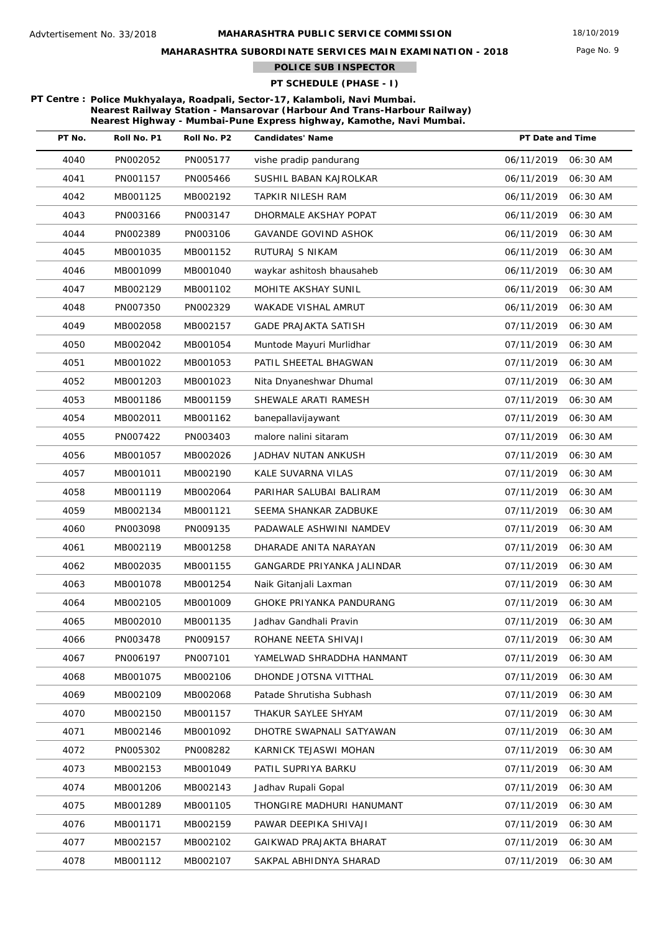Page No. 9

## **MAHARASHTRA SUBORDINATE SERVICES MAIN EXAMINATION - 2018**

**POLICE SUB INSPECTOR**

## **PT SCHEDULE (PHASE - I)**

#### **PT Centre : Police Mukhyalaya, Roadpali, Sector-17, Kalamboli, Navi Mumbai. Nearest Railway Station - Mansarovar (Harbour And Trans-Harbour Railway) Nearest Highway - Mumbai-Pune Express highway, Kamothe, Navi Mumbai.**

T.

| PT No. | Roll No. P1 | Roll No. P2 | <b>Candidates' Name</b>         | PT Date and Time       |
|--------|-------------|-------------|---------------------------------|------------------------|
| 4040   | PN002052    | PN005177    | vishe pradip pandurang          | 06/11/2019<br>06:30 AM |
| 4041   | PN001157    | PN005466    | SUSHIL BABAN KAJROLKAR          | 06/11/2019<br>06:30 AM |
| 4042   | MB001125    | MB002192    | <b>TAPKIR NILESH RAM</b>        | 06/11/2019<br>06:30 AM |
| 4043   | PN003166    | PN003147    | DHORMALE AKSHAY POPAT           | 06/11/2019<br>06:30 AM |
| 4044   | PN002389    | PN003106    | <b>GAVANDE GOVIND ASHOK</b>     | 06/11/2019<br>06:30 AM |
| 4045   | MB001035    | MB001152    | RUTURAJ S NIKAM                 | 06/11/2019<br>06:30 AM |
| 4046   | MB001099    | MB001040    | waykar ashitosh bhausaheb       | 06/11/2019<br>06:30 AM |
| 4047   | MB002129    | MB001102    | MOHITE AKSHAY SUNIL             | 06/11/2019<br>06:30 AM |
| 4048   | PN007350    | PN002329    | WAKADE VISHAL AMRUT             | 06/11/2019<br>06:30 AM |
| 4049   | MB002058    | MB002157    | GADE PRAJAKTA SATISH            | 07/11/2019<br>06:30 AM |
| 4050   | MB002042    | MB001054    | Muntode Mayuri Murlidhar        | 07/11/2019<br>06:30 AM |
| 4051   | MB001022    | MB001053    | PATIL SHEETAL BHAGWAN           | 07/11/2019<br>06:30 AM |
| 4052   | MB001203    | MB001023    | Nita Dnyaneshwar Dhumal         | 07/11/2019<br>06:30 AM |
| 4053   | MB001186    | MB001159    | SHEWALE ARATI RAMESH            | 07/11/2019<br>06:30 AM |
| 4054   | MB002011    | MB001162    | banepallavijaywant              | 07/11/2019<br>06:30 AM |
| 4055   | PN007422    | PN003403    | malore nalini sitaram           | 07/11/2019<br>06:30 AM |
| 4056   | MB001057    | MB002026    | JADHAV NUTAN ANKUSH             | 07/11/2019<br>06:30 AM |
| 4057   | MB001011    | MB002190    | KALE SUVARNA VILAS              | 07/11/2019<br>06:30 AM |
| 4058   | MB001119    | MB002064    | PARIHAR SALUBAI BALIRAM         | 07/11/2019<br>06:30 AM |
| 4059   | MB002134    | MB001121    | SEEMA SHANKAR ZADBUKE           | 07/11/2019<br>06:30 AM |
| 4060   | PN003098    | PN009135    | PADAWALE ASHWINI NAMDEV         | 07/11/2019<br>06:30 AM |
| 4061   | MB002119    | MB001258    | DHARADE ANITA NARAYAN           | 07/11/2019<br>06:30 AM |
| 4062   | MB002035    | MB001155    | GANGARDE PRIYANKA JALINDAR      | 07/11/2019<br>06:30 AM |
| 4063   | MB001078    | MB001254    | Naik Gitanjali Laxman           | 07/11/2019<br>06:30 AM |
| 4064   | MB002105    | MB001009    | <b>GHOKE PRIYANKA PANDURANG</b> | 07/11/2019<br>06:30 AM |
| 4065   | MB002010    | MB001135    | Jadhay Gandhali Pravin          | 07/11/2019<br>06:30 AM |
| 4066   | PN003478    | PN009157    | ROHANE NEETA SHIVAJI            | 07/11/2019<br>06:30 AM |
| 4067   | PN006197    | PN007101    | YAMELWAD SHRADDHA HANMANT       | 07/11/2019<br>06:30 AM |
| 4068   | MB001075    | MB002106    | DHONDE JOTSNA VITTHAL           | 07/11/2019<br>06:30 AM |
| 4069   | MB002109    | MB002068    | Patade Shrutisha Subhash        | 07/11/2019<br>06:30 AM |
| 4070   | MB002150    | MB001157    | THAKUR SAYLEE SHYAM             | 07/11/2019<br>06:30 AM |
| 4071   | MB002146    | MB001092    | DHOTRE SWAPNALI SATYAWAN        | 07/11/2019<br>06:30 AM |
| 4072   | PN005302    | PN008282    | KARNICK TEJASWI MOHAN           | 07/11/2019<br>06:30 AM |
| 4073   | MB002153    | MB001049    | PATIL SUPRIYA BARKU             | 07/11/2019<br>06:30 AM |
| 4074   | MB001206    | MB002143    | Jadhav Rupali Gopal             | 07/11/2019<br>06:30 AM |
| 4075   | MB001289    | MB001105    | THONGIRE MADHURI HANUMANT       | 07/11/2019<br>06:30 AM |
| 4076   | MB001171    | MB002159    | PAWAR DEEPIKA SHIVAJI           | 07/11/2019<br>06:30 AM |
| 4077   | MB002157    | MB002102    | GAIKWAD PRAJAKTA BHARAT         | 07/11/2019<br>06:30 AM |
| 4078   | MB001112    | MB002107    | SAKPAL ABHIDNYA SHARAD          | 07/11/2019<br>06:30 AM |